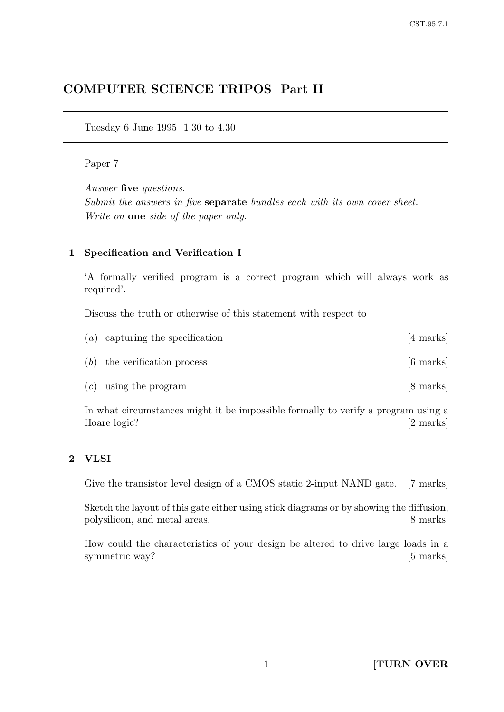# COMPUTER SCIENCE TRIPOS Part II

Tuesday 6 June 1995 1.30 to 4.30

## Paper 7

Answer five questions. Submit the answers in five separate bundles each with its own cover sheet. Write on one side of the paper only.

# 1 Specification and Verification I

'A formally verified program is a correct program which will always work as required'.

Discuss the truth or otherwise of this statement with respect to

|     | $(a)$ capturing the specification | [4 marks]           |
|-----|-----------------------------------|---------------------|
|     | $(b)$ the verification process    | $[6 \text{ marks}]$ |
| (c) | using the program                 | [8 marks]           |

In what circumstances might it be impossible formally to verify a program using a Hoare logic? [2 marks]

# 2 VLSI

Give the transistor level design of a CMOS static 2-input NAND gate. [7 marks]

Sketch the layout of this gate either using stick diagrams or by showing the diffusion, polysilicon, and metal areas. [8 marks]

How could the characteristics of your design be altered to drive large loads in a symmetric way? [5 marks]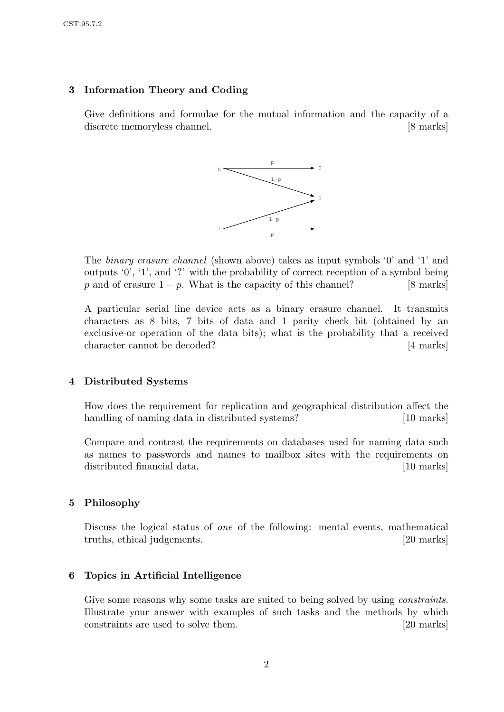## 3 Information Theory and Coding

Give definitions and formulae for the mutual information and the capacity of a discrete memoryless channel. [8 marks]



The binary erasure channel (shown above) takes as input symbols '0' and '1' and outputs '0', '1', and '?' with the probability of correct reception of a symbol being p and of erasure  $1 - p$ . What is the capacity of this channel? [8 marks]

A particular serial line device acts as a binary erasure channel. It transmits characters as 8 bits, 7 bits of data and 1 parity check bit (obtained by an exclusive-or operation of the data bits); what is the probability that a received character cannot be decoded? [4 marks]

#### 4 Distributed Systems

How does the requirement for replication and geographical distribution affect the handling of naming data in distributed systems? [10 marks]

Compare and contrast the requirements on databases used for naming data such as names to passwords and names to mailbox sites with the requirements on distributed financial data. [10 marks]

#### 5 Philosophy

Discuss the logical status of one of the following: mental events, mathematical truths, ethical judgements. [20 marks] [20 marks]

#### 6 Topics in Artificial Intelligence

Give some reasons why some tasks are suited to being solved by using *constraints*. Illustrate your answer with examples of such tasks and the methods by which constraints are used to solve them. [20 marks]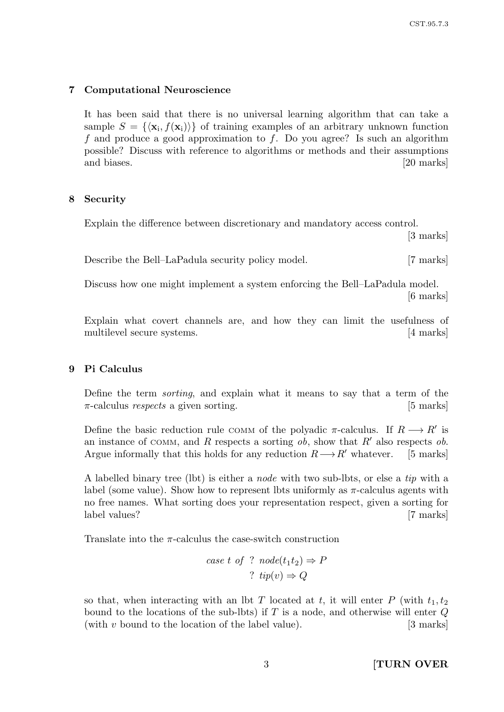# 7 Computational Neuroscience

It has been said that there is no universal learning algorithm that can take a sample  $S = \{\langle \mathbf{x}_i, f(\mathbf{x}_i) \rangle\}$  of training examples of an arbitrary unknown function f and produce a good approximation to f. Do you agree? Is such an algorithm possible? Discuss with reference to algorithms or methods and their assumptions and biases. [20 marks]

## 8 Security

Explain the difference between discretionary and mandatory access control.

[3 marks]

Describe the Bell–LaPadula security policy model. [7 marks]

Discuss how one might implement a system enforcing the Bell–LaPadula model. [6 marks]

Explain what covert channels are, and how they can limit the usefulness of multilevel secure systems. [4 marks]

# 9 Pi Calculus

Define the term sorting, and explain what it means to say that a term of the  $\pi$ -calculus *respects* a given sorting. [5 marks]

Define the basic reduction rule COMM of the polyadic  $\pi$ -calculus. If  $R \longrightarrow R'$  is an instance of COMM, and R respects a sorting  $ob$ , show that  $R'$  also respects  $ob$ . Argue informally that this holds for any reduction  $R\rightarrow R'$  whatever. [5 marks]

A labelled binary tree (lbt) is either a node with two sub-lbts, or else a tip with a label (some value). Show how to represent lbts uniformly as  $\pi$ -calculus agents with no free names. What sorting does your representation respect, given a sorting for label values? [7 marks]

Translate into the  $\pi$ -calculus the case-switch construction

case t of ? node
$$
(t_1t_2) \Rightarrow P
$$
  
?  $tip(v) \Rightarrow Q$ 

so that, when interacting with an lbt T located at t, it will enter P (with  $t_1, t_2$ ) bound to the locations of the sub-lbts) if  $T$  is a node, and otherwise will enter  $Q$ (with  $v$  bound to the location of the label value). [3 marks]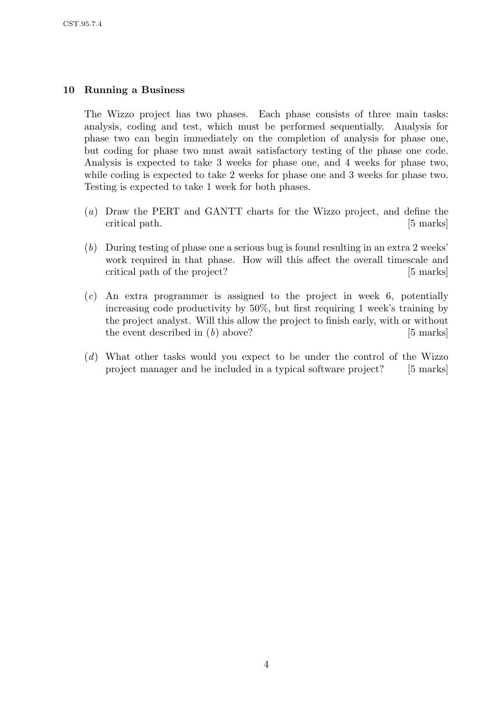# 10 Running a Business

The Wizzo project has two phases. Each phase consists of three main tasks: analysis, coding and test, which must be performed sequentially. Analysis for phase two can begin immediately on the completion of analysis for phase one, but coding for phase two must await satisfactory testing of the phase one code. Analysis is expected to take 3 weeks for phase one, and 4 weeks for phase two, while coding is expected to take 2 weeks for phase one and 3 weeks for phase two. Testing is expected to take 1 week for both phases.

- (a) Draw the PERT and GANTT charts for the Wizzo project, and define the critical path. [5 marks]
- (b) During testing of phase one a serious bug is found resulting in an extra 2 weeks' work required in that phase. How will this affect the overall timescale and critical path of the project? [5 marks]
- (c) An extra programmer is assigned to the project in week 6, potentially increasing code productivity by 50%, but first requiring 1 week's training by the project analyst. Will this allow the project to finish early, with or without the event described in  $(b)$  above? [5 marks]
- (d) What other tasks would you expect to be under the control of the Wizzo project manager and be included in a typical software project? [5 marks]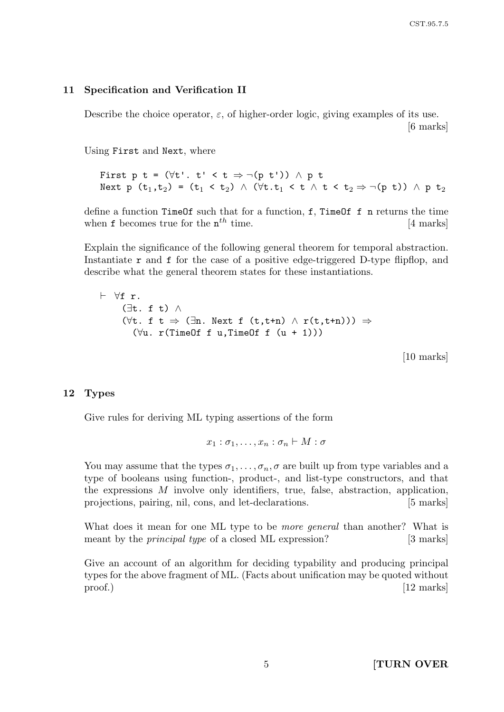### 11 Specification and Verification II

Describe the choice operator,  $\varepsilon$ , of higher-order logic, giving examples of its use. [6 marks]

Using First and Next, where

First p t =  $(\forall t'. t' < t \Rightarrow \neg(p t')) \land p t$ Next p  $(t_1,t_2)$  =  $(t_1 < t_2) \wedge (\forall t \cdot t_1 < t \wedge t < t_2 \Rightarrow \neg(p \ t)) \wedge p \ t_2$ 

define a function TimeOf such that for a function, f, TimeOf f n returns the time when **f** becomes true for the  $n^{th}$  time. [4 marks]

Explain the significance of the following general theorem for temporal abstraction. Instantiate r and f for the case of a positive edge-triggered D-type flipflop, and describe what the general theorem states for these instantiations.

```
\vdash \forallf r.
(\exists t. f t) \wedge(\forall t. f t \Rightarrow (\exists n. Next f (t,t+n) \wedge r(t,t+n))) \Rightarrow(∀u. r(TimeOf f u,TimeOf f (u + 1)))
```
[10 marks]

#### 12 Types

Give rules for deriving ML typing assertions of the form

$$
x_1 : \sigma_1, \ldots, x_n : \sigma_n \vdash M : \sigma
$$

You may assume that the types  $\sigma_1, \ldots, \sigma_n, \sigma$  are built up from type variables and a type of booleans using function-, product-, and list-type constructors, and that the expressions M involve only identifiers, true, false, abstraction, application, projections, pairing, nil, cons, and let-declarations. [5 marks]

What does it mean for one ML type to be *more general* than another? What is meant by the *principal type* of a closed ML expression? [3 marks]

Give an account of an algorithm for deciding typability and producing principal types for the above fragment of ML. (Facts about unification may be quoted without proof.) [12 marks]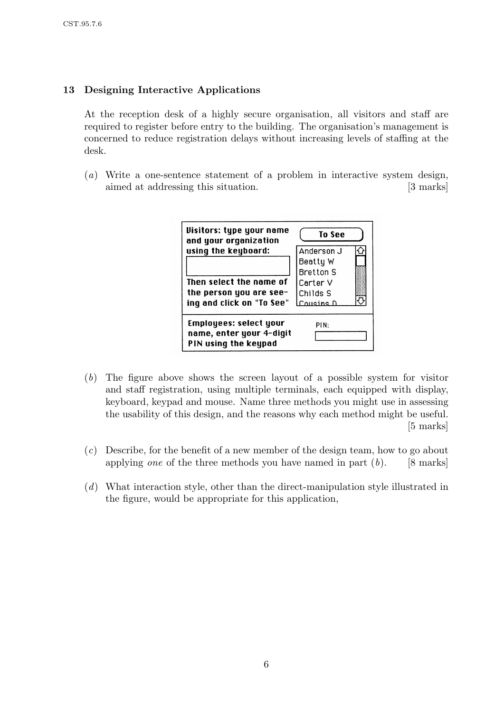# 13 Designing Interactive Applications

At the reception desk of a highly secure organisation, all visitors and staff are required to register before entry to the building. The organisation's management is concerned to reduce registration delays without increasing levels of staffing at the desk.

(a) Write a one-sentence statement of a problem in interactive system design, aimed at addressing this situation. [3 marks]



- (b) The figure above shows the screen layout of a possible system for visitor and staff registration, using multiple terminals, each equipped with display, keyboard, keypad and mouse. Name three methods you might use in assessing the usability of this design, and the reasons why each method might be useful. [5 marks]
- (c) Describe, for the benefit of a new member of the design team, how to go about applying one of the three methods you have named in part  $(b)$ . [8 marks]
- (d) What interaction style, other than the direct-manipulation style illustrated in the figure, would be appropriate for this application,